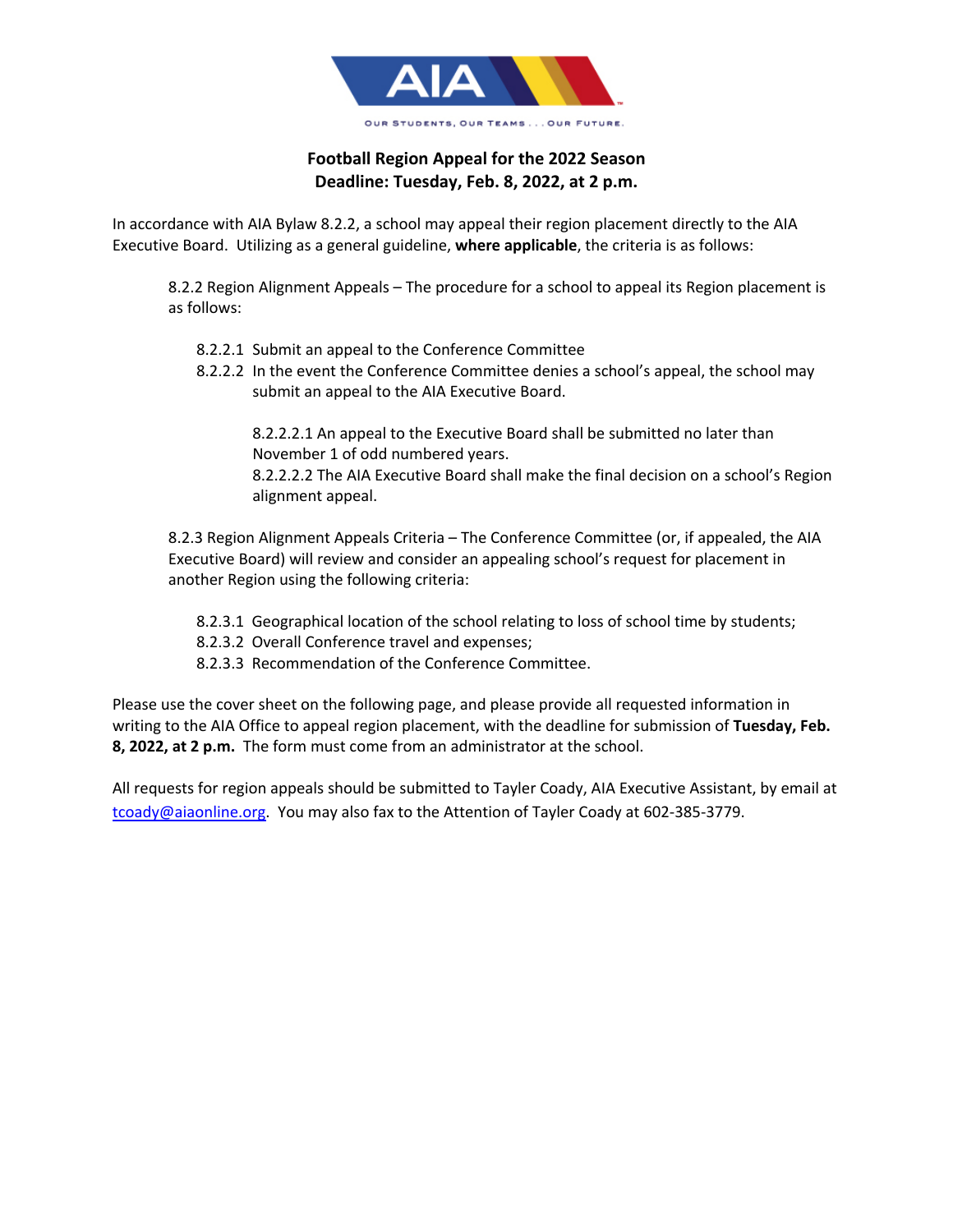

## **Football Region Appeal for the 2022 Season Deadline: Tuesday, Feb. 8, 2022, at 2 p.m.**

In accordance with AIA Bylaw 8.2.2, a school may appeal their region placement directly to the AIA Executive Board. Utilizing as a general guideline, **where applicable**, the criteria is as follows:

8.2.2 Region Alignment Appeals – The procedure for a school to appeal its Region placement is as follows:

- 8.2.2.1 Submit an appeal to the Conference Committee
- 8.2.2.2 In the event the Conference Committee denies a school's appeal, the school may submit an appeal to the AIA Executive Board.

8.2.2.2.1 An appeal to the Executive Board shall be submitted no later than November 1 of odd numbered years.

8.2.2.2.2 The AIA Executive Board shall make the final decision on a school's Region alignment appeal.

8.2.3 Region Alignment Appeals Criteria – The Conference Committee (or, if appealed, the AIA Executive Board) will review and consider an appealing school's request for placement in another Region using the following criteria:

- 8.2.3.1 Geographical location of the school relating to loss of school time by students;
- 8.2.3.2 Overall Conference travel and expenses;
- 8.2.3.3 Recommendation of the Conference Committee.

Please use the cover sheet on the following page, and please provide all requested information in writing to the AIA Office to appeal region placement, with the deadline for submission of **Tuesday, Feb. 8, 2022, at 2 p.m.** The form must come from an administrator at the school.

All requests for region appeals should be submitted to Tayler Coady, AIA Executive Assistant, by email at tcoady@aiaonline.org. You may also fax to the Attention of Tayler Coady at 602-385-3779.